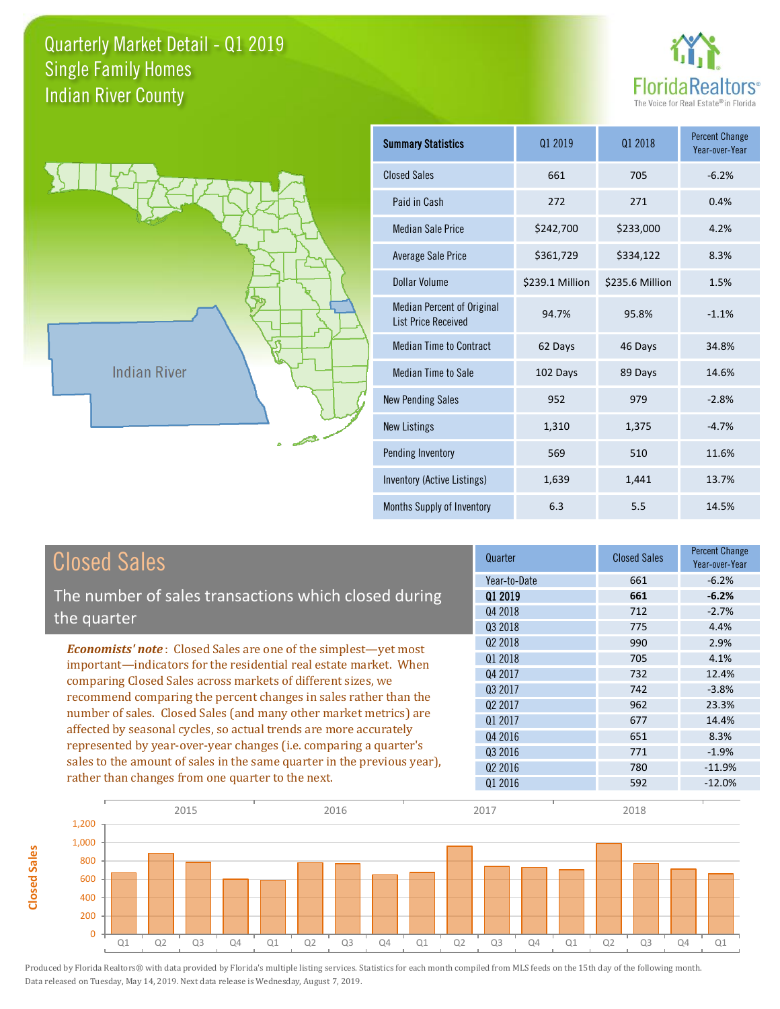



**Closed Sales**

**Closed Sales** 

| <b>Summary Statistics</b>                                       | 01 2019         | 01 2018         | <b>Percent Change</b><br>Year-over-Year |
|-----------------------------------------------------------------|-----------------|-----------------|-----------------------------------------|
| <b>Closed Sales</b>                                             | 661             | 705             | $-6.2%$                                 |
| Paid in Cash                                                    | 272             | 271             | 0.4%                                    |
| <b>Median Sale Price</b>                                        | \$242,700       | \$233,000       | 4.2%                                    |
| <b>Average Sale Price</b>                                       | \$361,729       | \$334,122       | 8.3%                                    |
| Dollar Volume                                                   | \$239.1 Million | \$235.6 Million | 1.5%                                    |
| <b>Median Percent of Original</b><br><b>List Price Received</b> | 94.7%           | 95.8%           | $-1.1%$                                 |
| <b>Median Time to Contract</b>                                  | 62 Days         | 46 Days         | 34.8%                                   |
| <b>Median Time to Sale</b>                                      | 102 Days        | 89 Days         | 14.6%                                   |
| <b>New Pending Sales</b>                                        | 952             | 979             | $-2.8%$                                 |
| <b>New Listings</b>                                             | 1,310           | 1,375           | $-4.7%$                                 |
| <b>Pending Inventory</b>                                        | 569             | 510             | 11.6%                                   |
| Inventory (Active Listings)                                     | 1,639           | 1,441           | 13.7%                                   |
| Months Supply of Inventory                                      | 6.3             | 5.5             | 14.5%                                   |

| <b>Closed Sales</b>                                                     | Quarter             | <b>Closed Sales</b> | <b>Percent Change</b><br>Year-over-Year |
|-------------------------------------------------------------------------|---------------------|---------------------|-----------------------------------------|
|                                                                         | Year-to-Date        | 661                 | $-6.2%$                                 |
| The number of sales transactions which closed during                    | 01 2019             | 661                 | $-6.2%$                                 |
| the quarter                                                             | Q4 2018             | 712                 | $-2.7%$                                 |
|                                                                         | 03 2018             | 775                 | 4.4%                                    |
| <b>Economists' note:</b> Closed Sales are one of the simplest-yet most  | Q <sub>2</sub> 2018 | 990                 | 2.9%                                    |
| important-indicators for the residential real estate market. When       | Q1 2018             | 705                 | 4.1%                                    |
| comparing Closed Sales across markets of different sizes, we            | Q4 2017             | 732                 | 12.4%                                   |
| recommend comparing the percent changes in sales rather than the        | 03 2017             | 742                 | $-3.8%$                                 |
|                                                                         | Q <sub>2</sub> 2017 | 962                 | 23.3%                                   |
| number of sales. Closed Sales (and many other market metrics) are       | Q1 2017             | 677                 | 14.4%                                   |
| affected by seasonal cycles, so actual trends are more accurately       | 04 2016             | 651                 | 8.3%                                    |
| represented by year-over-year changes (i.e. comparing a quarter's       | 03 2016             | 771                 | $-1.9%$                                 |
| sales to the amount of sales in the same quarter in the previous year), | Q <sub>2</sub> 2016 | 780                 | $-11.9\%$                               |
| rather than changes from one quarter to the next.                       | Q1 2016             | 592                 | $-12.0%$                                |

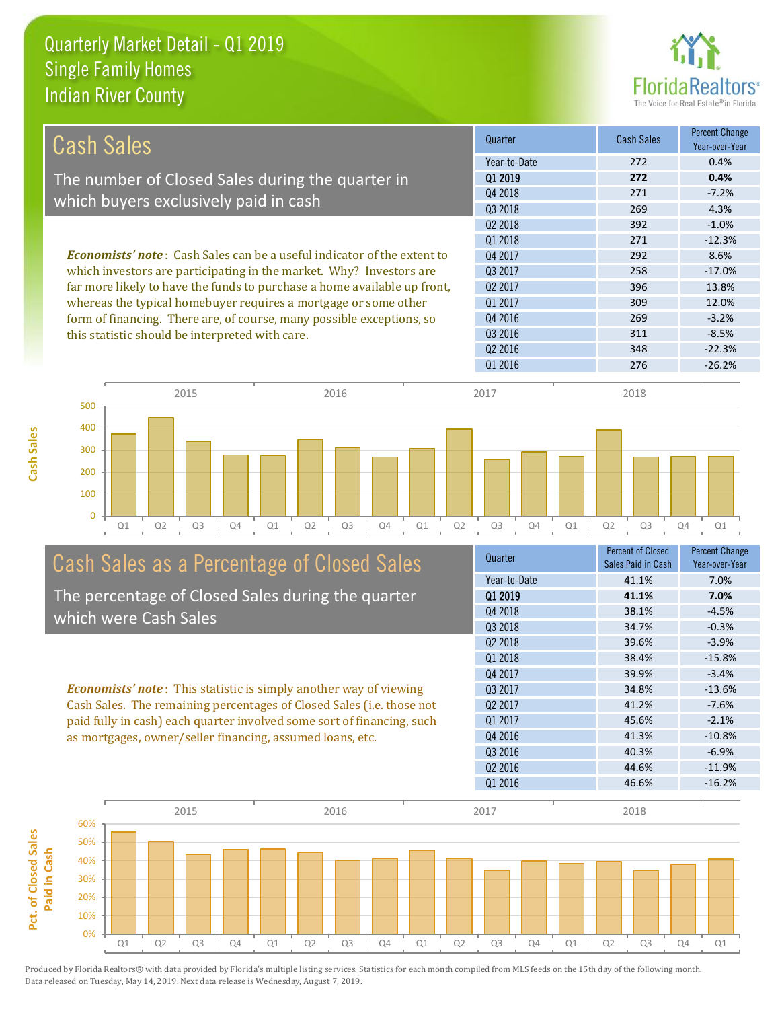

| <b>Cash Sales</b>                                                                                                                               | Quarter             | <b>Cash Sales</b> | <b>Percent Change</b><br>Year-over-Year |
|-------------------------------------------------------------------------------------------------------------------------------------------------|---------------------|-------------------|-----------------------------------------|
|                                                                                                                                                 | Year-to-Date        | 272               | 0.4%                                    |
| The number of Closed Sales during the quarter in                                                                                                | 01 2019             | 272               | 0.4%                                    |
|                                                                                                                                                 | Q4 2018             | 271               | $-7.2%$                                 |
| which buyers exclusively paid in cash                                                                                                           | 03 2018             | 269               | 4.3%                                    |
|                                                                                                                                                 | 02 2018             | 392               | $-1.0%$                                 |
|                                                                                                                                                 | 01 2018             | 271               | $-12.3%$                                |
| <b>Economists' note:</b> Cash Sales can be a useful indicator of the extent to                                                                  | Q4 2017             | 292               | 8.6%                                    |
| which investors are participating in the market. Why? Investors are<br>far more likely to have the funds to purchase a home available up front, | Q3 2017             | 258               | $-17.0\%$                               |
|                                                                                                                                                 | 02 2017             | 396               | 13.8%                                   |
| whereas the typical homebuyer requires a mortgage or some other                                                                                 | 01 2017             | 309               | 12.0%                                   |
| form of financing. There are, of course, many possible exceptions, so                                                                           | Q4 2016             | 269               | $-3.2%$                                 |
| this statistic should be interpreted with care.                                                                                                 | Q3 2016             | 311               | $-8.5%$                                 |
|                                                                                                                                                 | Q <sub>2</sub> 2016 | 348               | $-22.3%$                                |
|                                                                                                                                                 | 01 2016             | 276               | $-26.2%$                                |
|                                                                                                                                                 |                     |                   |                                         |



# Cash Sales as a Percentage of Closed Sales

The percentage of Closed Sales during the quarter which were Cash Sales

*Economists' note* : This statistic is simply another way of viewing Cash Sales. The remaining percentages of Closed Sales (i.e. those not paid fully in cash) each quarter involved some sort of financing, such as mortgages, owner/seller financing, assumed loans, etc.

| Quarter             | <b>Percent of Closed</b><br>Sales Paid in Cash | <b>Percent Change</b><br>Year-over-Year |
|---------------------|------------------------------------------------|-----------------------------------------|
| Year-to-Date        | 41.1%                                          | 7.0%                                    |
| 01 2019             | 41.1%                                          | 7.0%                                    |
| Q4 2018             | 38.1%                                          | $-4.5%$                                 |
| Q3 2018             | 34.7%                                          | $-0.3%$                                 |
| Q <sub>2</sub> 2018 | 39.6%                                          | $-3.9%$                                 |
| 01 2018             | 38.4%                                          | $-15.8%$                                |
| Q4 2017             | 39.9%                                          | $-3.4%$                                 |
| 03 2017             | 34.8%                                          | $-13.6%$                                |
| Q <sub>2</sub> 2017 | 41.2%                                          | $-7.6%$                                 |
| Q1 2017             | 45.6%                                          | $-2.1%$                                 |
| Q4 2016             | 41.3%                                          | $-10.8%$                                |
| Q3 2016             | 40.3%                                          | $-6.9%$                                 |
| Q <sub>2</sub> 2016 | 44.6%                                          | $-11.9%$                                |
| Q1 2016             | 46.6%                                          | $-16.2%$                                |
|                     |                                                |                                         |

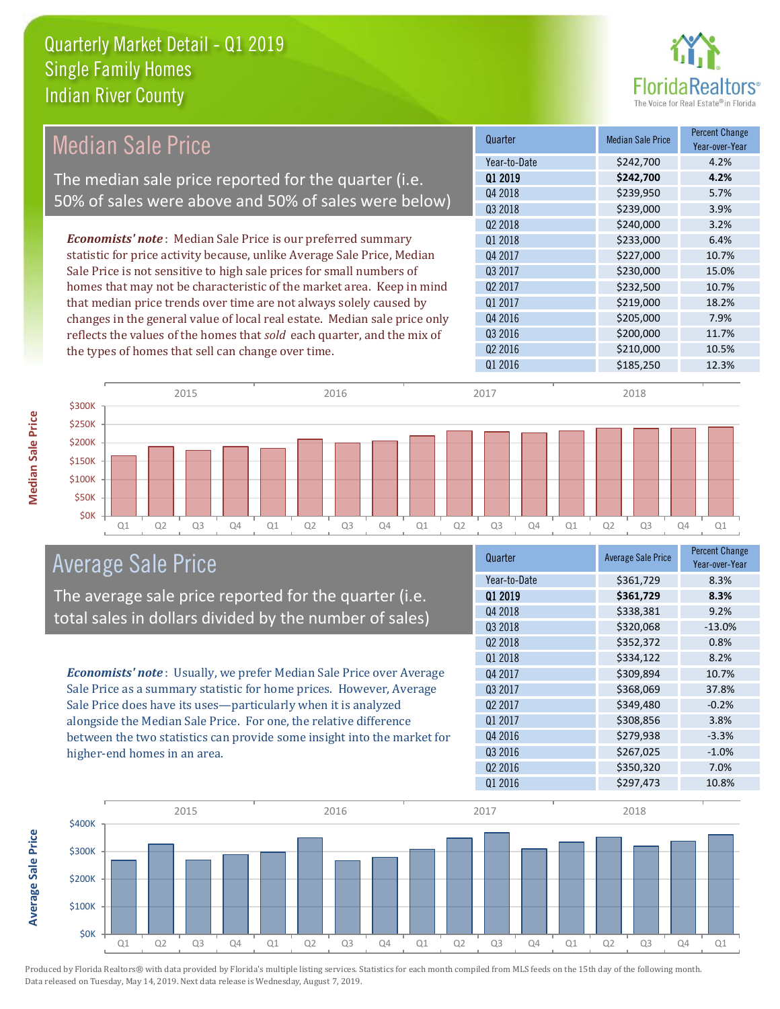

| <b>Median Sale Price</b>                                                  | Quarter             | <b>Median Sale Price</b> | <b>Percent Change</b><br>Year-over-Year |
|---------------------------------------------------------------------------|---------------------|--------------------------|-----------------------------------------|
|                                                                           | Year-to-Date        | \$242,700                | 4.2%                                    |
| The median sale price reported for the quarter (i.e.                      | 01 2019             | \$242,700                | 4.2%                                    |
| 50% of sales were above and 50% of sales were below)                      | Q4 2018             | \$239,950                | 5.7%                                    |
|                                                                           | Q3 2018             | \$239,000                | 3.9%                                    |
|                                                                           | Q2 2018             | \$240,000                | 3.2%                                    |
| <b>Economists' note</b> : Median Sale Price is our preferred summary      | Q1 2018             | \$233,000                | 6.4%                                    |
| statistic for price activity because, unlike Average Sale Price, Median   | Q4 2017             | \$227,000                | 10.7%                                   |
| Sale Price is not sensitive to high sale prices for small numbers of      | Q3 2017             | \$230,000                | 15.0%                                   |
| homes that may not be characteristic of the market area. Keep in mind     | Q <sub>2</sub> 2017 | \$232,500                | 10.7%                                   |
| that median price trends over time are not always solely caused by        | Q1 2017             | \$219,000                | 18.2%                                   |
| changes in the general value of local real estate. Median sale price only | Q4 2016             | \$205,000                | 7.9%                                    |
| reflects the values of the homes that sold each quarter, and the mix of   | Q3 2016             | \$200,000                | 11.7%                                   |
| the types of homes that sell can change over time.                        | Q <sub>2</sub> 2016 | \$210,000                | 10.5%                                   |
|                                                                           | Q1 2016             | \$185,250                | 12.3%                                   |
| 2015<br>2016                                                              | 2017                | 2018                     |                                         |
| \$300K                                                                    |                     |                          |                                         |
| \$250K                                                                    |                     |                          |                                         |
| \$200K                                                                    |                     |                          |                                         |
| \$150K                                                                    |                     |                          |                                         |

Q1 Q2 Q3 Q4 Q1 Q2 Q3 Q4 Q1 Q2 Q3 Q4 Q1 Q2 Q3 Q4 Q1

Average Sale Price

**\$0K** \$50K \$100K

The average sale price reported for the quarter (i.e. total sales in dollars divided by the number of sales)

*Economists' note* : Usually, we prefer Median Sale Price over Average Sale Price as a summary statistic for home prices. However, Average Sale Price does have its uses—particularly when it is analyzed alongside the Median Sale Price. For one, the relative difference between the two statistics can provide some insight into the market for higher-end homes in an area.

| Quarter             | <b>Average Sale Price</b> | <b>Percent Change</b><br>Year-over-Year |
|---------------------|---------------------------|-----------------------------------------|
| Year-to-Date        | \$361,729                 | 8.3%                                    |
| 01 2019             | \$361,729                 | 8.3%                                    |
| Q4 2018             | \$338,381                 | 9.2%                                    |
| Q3 2018             | \$320,068                 | $-13.0%$                                |
| 02 2018             | \$352,372                 | 0.8%                                    |
| Q1 2018             | \$334,122                 | 8.2%                                    |
| Q4 2017             | \$309,894                 | 10.7%                                   |
| Q3 2017             | \$368,069                 | 37.8%                                   |
| 02 2017             | \$349,480                 | $-0.2%$                                 |
| Q1 2017             | \$308,856                 | 3.8%                                    |
| Q4 2016             | \$279,938                 | $-3.3%$                                 |
| Q3 2016             | \$267,025                 | $-1.0%$                                 |
| Q <sub>2</sub> 2016 | \$350,320                 | 7.0%                                    |
| Q1 2016             | \$297,473                 | 10.8%                                   |



Produced by Florida Realtors® with data provided by Florida's multiple listing services. Statistics for each month compiled from MLS feeds on the 15th day of the following month. Data released on Tuesday, May 14, 2019. Next data release is Wednesday, August 7, 2019.

**Average Sale Price**

**Average Sale Price**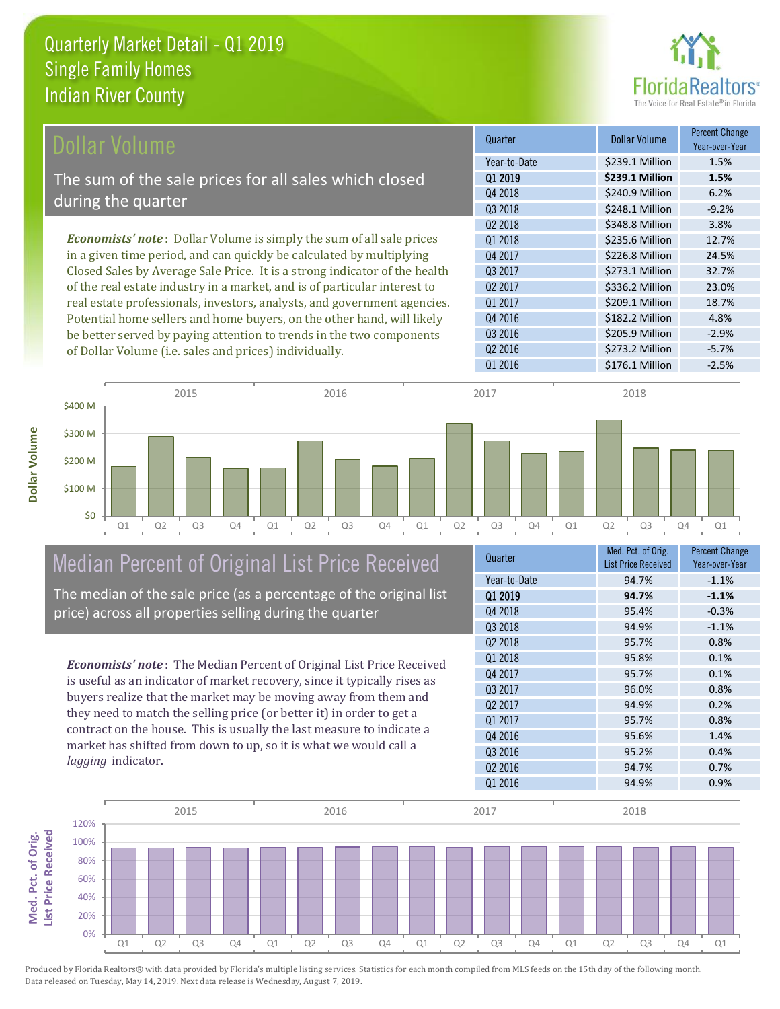**Dollar Volume**



| Dollar Volume                                                               | Quarter             | <b>Dollar Volume</b> | <b>Percent Change</b><br>Year-over-Year |
|-----------------------------------------------------------------------------|---------------------|----------------------|-----------------------------------------|
|                                                                             | Year-to-Date        | \$239.1 Million      | 1.5%                                    |
| The sum of the sale prices for all sales which closed                       | 01 2019             | \$239.1 Million      | 1.5%                                    |
|                                                                             | Q4 2018             | \$240.9 Million      | 6.2%                                    |
| during the quarter                                                          | Q3 2018             | \$248.1 Million      | $-9.2%$                                 |
|                                                                             | Q <sub>2</sub> 2018 | \$348.8 Million      | 3.8%                                    |
| <b>Economists' note:</b> Dollar Volume is simply the sum of all sale prices | Q1 2018             | \$235.6 Million      | 12.7%                                   |
| in a given time period, and can quickly be calculated by multiplying        | Q4 2017             | \$226.8 Million      | 24.5%                                   |
| Closed Sales by Average Sale Price. It is a strong indicator of the health  | Q3 2017             | \$273.1 Million      | 32.7%                                   |
| of the real estate industry in a market, and is of particular interest to   | Q <sub>2</sub> 2017 | \$336.2 Million      | 23.0%                                   |
| real estate professionals, investors, analysts, and government agencies.    | Q1 2017             | \$209.1 Million      | 18.7%                                   |
| Potential home sellers and home buyers, on the other hand, will likely      | Q4 2016             | \$182.2 Million      | 4.8%                                    |
| be better served by paying attention to trends in the two components        | Q3 2016             | \$205.9 Million      | $-2.9%$                                 |
| of Dollar Volume (i.e. sales and prices) individually.                      | Q <sub>2</sub> 2016 | \$273.2 Million      | $-5.7%$                                 |



## Median Percent of Original List Price Received

The median of the sale price (as a percentage of the original list price) across all properties selling during the quarter

*Economists' note* : The Median Percent of Original List Price Received is useful as an indicator of market recovery, since it typically rises as buyers realize that the market may be moving away from them and they need to match the selling price (or better it) in order to get a contract on the house. This is usually the last measure to indicate a market has shifted from down to up, so it is what we would call a *lagging* indicator.

| Med. Pct. of Orig.<br><b>List Price Received</b> | <b>Percent Change</b><br>Year-over-Year |
|--------------------------------------------------|-----------------------------------------|
| 94.7%                                            | $-1.1%$                                 |
| 94.7%                                            | $-1.1%$                                 |
| 95.4%                                            | $-0.3%$                                 |
| 94.9%                                            | $-1.1%$                                 |
| 95.7%                                            | 0.8%                                    |
| 95.8%                                            | 0.1%                                    |
| 95.7%                                            | 0.1%                                    |
| 96.0%                                            | 0.8%                                    |
| 94.9%                                            | 0.2%                                    |
| 95.7%                                            | 0.8%                                    |
| 95.6%                                            | 1.4%                                    |
| 95.2%                                            | 0.4%                                    |
| 94.7%                                            | 0.7%                                    |
| 94.9%                                            | 0.9%                                    |
|                                                  |                                         |

Q1 2016 5176.1 Million -2.5%

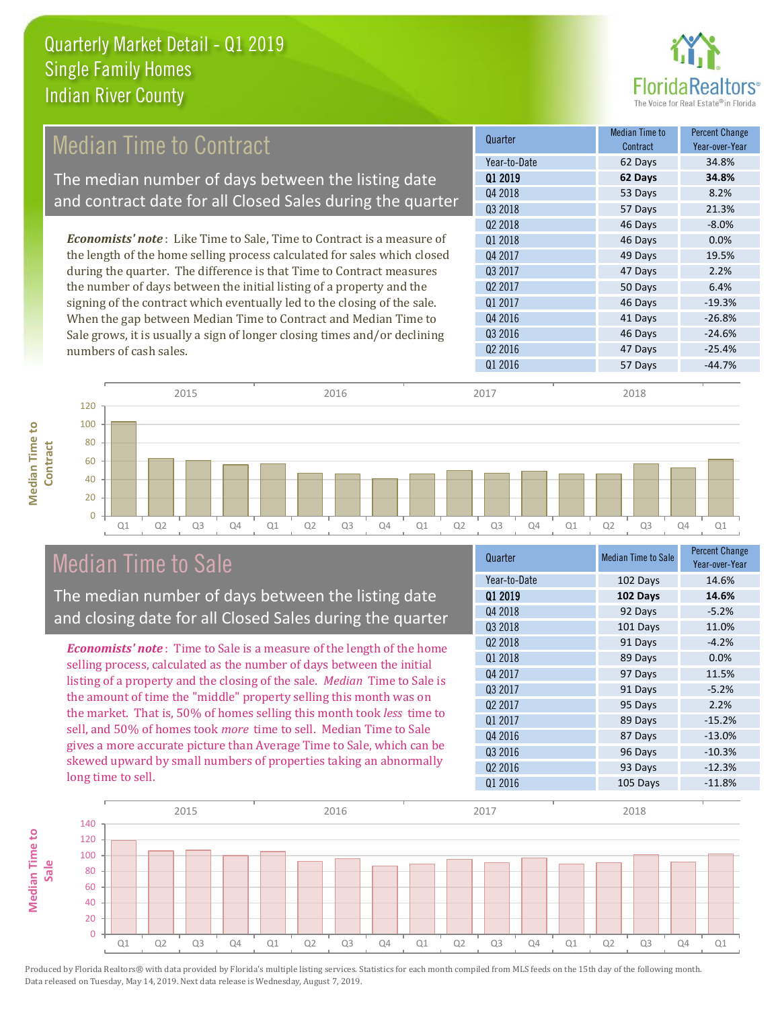

#### 57 Days 21.3%  $Q2\,2018$   $46\,$  Days  $-8.0\%$ Q1 2017 **46 Days** 46 Days 46 Days **Quarter Median Time to All According to All According Median Time to All According to All According to All According to All According to All According to All According to All According to All According to All According to Contract** Percent Change Year-over-Year Q1 2019 **62 Days 34.8%** Year-to-Date 62 Days 34.8% Q4 2018 **53 Days** 53 Days 8.2% Q3 2018 Q3 2017 47 Days 2.2% Q2 2017 50 Days 6.4% Q1 2018 46 Days 0.0% Q4 2017 **49 Days** 19.5% 41 Days -26.8% Q3 2016 **46 Days** -24.6% Q4 2016 Q2 2016 47 Days -25.4% Q1 2016 **57 Days** -44.7% *Economists' note* : Like Time to Sale, Time to Contract is a measure of the length of the home selling process calculated for sales which closed during the quarter. The difference is that Time to Contract measures the number of days between the initial listing of a property and the signing of the contract which eventually led to the closing of the sale. When the gap between Median Time to Contract and Median Time to Sale grows, it is usually a sign of longer closing times and/or declining numbers of cash sales. 60 80 100 120 **Contract** 2015 2016 2017 2018 Median Time to Contract The median number of days between the listing date and contract date for all Closed Sales during the quarter

Q1 Q2 Q3 Q4 Q1 Q2 Q3 Q4 Q1 Q2 Q3 Q4 Q1 Q2 Q3 Q4 Q1

### Median Time to Sale

 $\Omega$ 20 40

**Median Time to** 

**Median Time to** 

The median number of days between the listing date and closing date for all Closed Sales during the quarter

*Economists' note* : Time to Sale is a measure of the length of the home selling process, calculated as the number of days between the initial listing of a property and the closing of the sale. *Median* Time to Sale is the amount of time the "middle" property selling this month was on the market. That is, 50% of homes selling this month took *less* time to sell, and 50% of homes took *more* time to sell. Median Time to Sale gives a more accurate picture than Average Time to Sale, which can be skewed upward by small numbers of properties taking an abnormally long time to sell.

| Quarter             | <b>Median Time to Sale</b> | <b>Percent Change</b><br>Year-over-Year |
|---------------------|----------------------------|-----------------------------------------|
| Year-to-Date        | 102 Days                   | 14.6%                                   |
| 01 2019             | 102 Days                   | 14.6%                                   |
| Q4 2018             | 92 Days                    | $-5.2%$                                 |
| Q3 2018             | 101 Days                   | 11.0%                                   |
| Q2 2018             | 91 Days                    | $-4.2%$                                 |
| 01 2018             | 89 Days                    | 0.0%                                    |
| Q4 2017             | 97 Days                    | 11.5%                                   |
| Q3 2017             | 91 Days                    | $-5.2%$                                 |
| 02 2017             | 95 Days                    | 2.2%                                    |
| Q1 2017             | 89 Days                    | $-15.2%$                                |
| Q4 2016             | 87 Days                    | $-13.0%$                                |
| Q3 2016             | 96 Days                    | $-10.3%$                                |
| Q <sub>2</sub> 2016 | 93 Days                    | $-12.3%$                                |
| Q1 2016             | 105 Days                   | $-11.8%$                                |

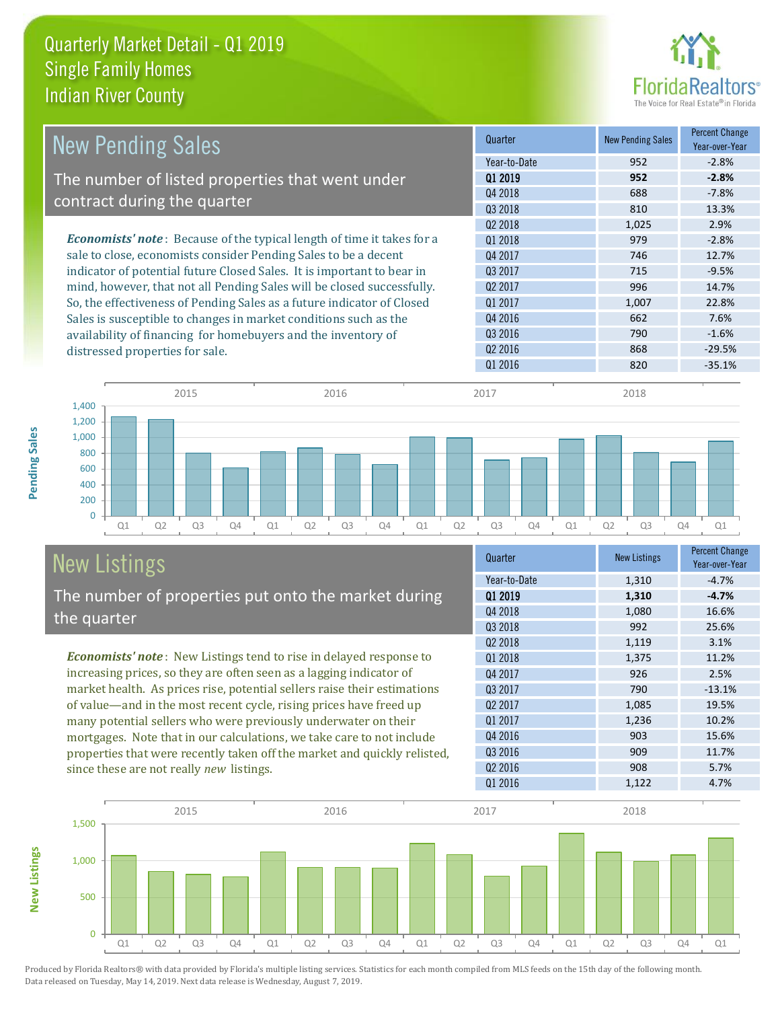

| <b>New Pending Sales</b>                                                      | Quarter             | <b>New Pending Sales</b> | <b>Percent Change</b><br>Year-over-Year |
|-------------------------------------------------------------------------------|---------------------|--------------------------|-----------------------------------------|
|                                                                               | Year-to-Date        | 952                      | $-2.8%$                                 |
| The number of listed properties that went under                               | Q1 2019             | 952                      | $-2.8%$                                 |
| contract during the quarter                                                   | Q4 2018             | 688                      | $-7.8%$                                 |
|                                                                               | Q3 2018             | 810                      | 13.3%                                   |
|                                                                               | 02 2018             | 1,025                    | 2.9%                                    |
| <b>Economists' note:</b> Because of the typical length of time it takes for a | 01 2018             | 979                      | $-2.8%$                                 |
| sale to close, economists consider Pending Sales to be a decent               | Q4 2017             | 746                      | 12.7%                                   |
| indicator of potential future Closed Sales. It is important to bear in        | 03 2017             | 715                      | $-9.5%$                                 |
| mind, however, that not all Pending Sales will be closed successfully.        | Q <sub>2</sub> 2017 | 996                      | 14.7%                                   |
| So, the effectiveness of Pending Sales as a future indicator of Closed        | 01 2017             | 1,007                    | 22.8%                                   |
| Sales is susceptible to changes in market conditions such as the              | Q4 2016             | 662                      | 7.6%                                    |
| availability of financing for homebuyers and the inventory of                 | Q3 2016             | 790                      | $-1.6%$                                 |
| distressed properties for sale.                                               | Q <sub>2</sub> 2016 | 868                      | $-29.5%$                                |
|                                                                               | 01 2016             | 820                      | $-35.1%$                                |

**New Listings**



# New Listings

The number of properties put onto the market during the quarter

*Economists' note* : New Listings tend to rise in delayed response to increasing prices, so they are often seen as a lagging indicator of market health. As prices rise, potential sellers raise their estimations of value—and in the most recent cycle, rising prices have freed up many potential sellers who were previously underwater on their mortgages. Note that in our calculations, we take care to not include properties that were recently taken off the market and quickly relisted, since these are not really *new* listings.

| Quarter             | <b>New Listings</b> | <b>Percent Change</b><br>Year-over-Year |
|---------------------|---------------------|-----------------------------------------|
| Year-to-Date        | 1,310               | $-4.7%$                                 |
| 01 2019             | 1,310               | $-4.7%$                                 |
| Q4 2018             | 1,080               | 16.6%                                   |
| Q3 2018             | 992                 | 25.6%                                   |
| 02 2018             | 1,119               | 3.1%                                    |
| Q1 2018             | 1,375               | 11.2%                                   |
| Q4 2017             | 926                 | 2.5%                                    |
| 03 2017             | 790                 | $-13.1%$                                |
| Q <sub>2</sub> 2017 | 1,085               | 19.5%                                   |
| Q1 2017             | 1,236               | 10.2%                                   |
| Q4 2016             | 903                 | 15.6%                                   |
| Q3 2016             | 909                 | 11.7%                                   |
| Q <sub>2</sub> 2016 | 908                 | 5.7%                                    |
| Q1 2016             | 1,122               | 4.7%                                    |

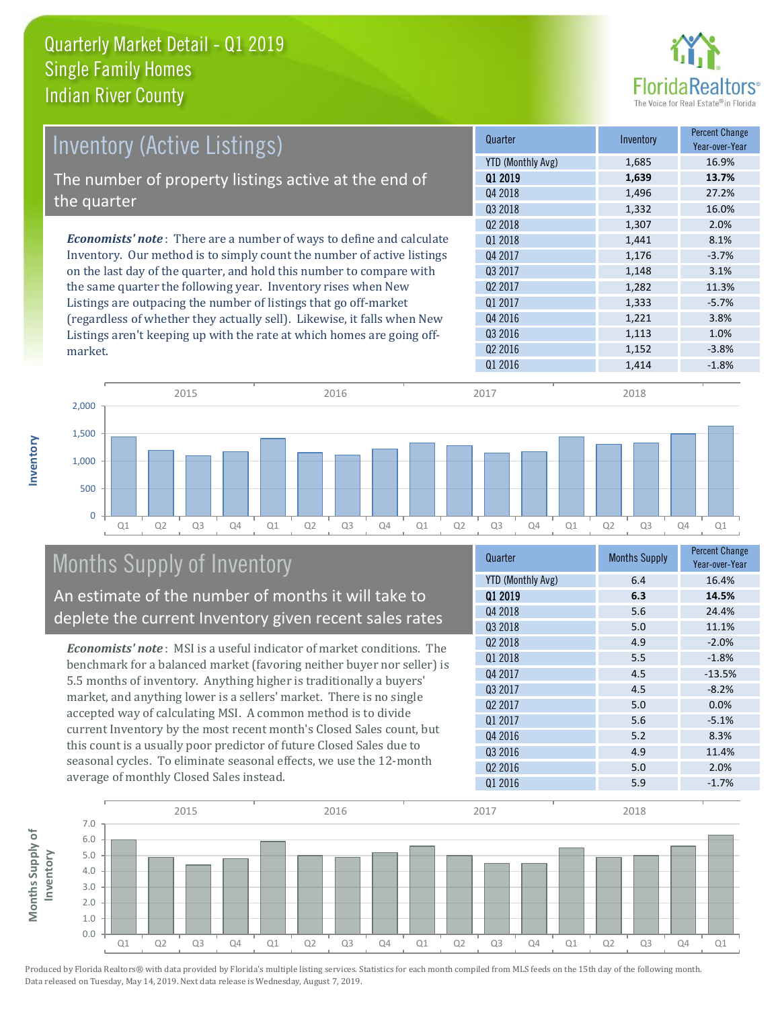

| <b>Inventory (Active Listings)</b>                                           | Quarter             | Inventory | <b>Percent Change</b><br>Year-over-Year |
|------------------------------------------------------------------------------|---------------------|-----------|-----------------------------------------|
|                                                                              | YTD (Monthly Avg)   | 1,685     | 16.9%                                   |
| The number of property listings active at the end of                         | 01 2019             | 1,639     | 13.7%                                   |
|                                                                              | Q4 2018             | 1,496     | 27.2%                                   |
| the quarter                                                                  | Q3 2018             | 1,332     | 16.0%                                   |
|                                                                              | 02 2018             | 1,307     | 2.0%                                    |
| <b>Economists' note</b> : There are a number of ways to define and calculate | 01 2018             | 1,441     | 8.1%                                    |
| Inventory. Our method is to simply count the number of active listings       | Q4 2017             | 1,176     | $-3.7%$                                 |
| on the last day of the quarter, and hold this number to compare with         | 03 2017             | 1,148     | 3.1%                                    |
| the same quarter the following year. Inventory rises when New                | Q <sub>2</sub> 2017 | 1,282     | 11.3%                                   |
| Listings are outpacing the number of listings that go off-market             | Q1 2017             | 1,333     | $-5.7%$                                 |
| (regardless of whether they actually sell). Likewise, it falls when New      | Q4 2016             | 1,221     | 3.8%                                    |
| Listings aren't keeping up with the rate at which homes are going off-       | Q3 2016             | 1,113     | 1.0%                                    |
| market.                                                                      | Q <sub>2</sub> 2016 | 1,152     | $-3.8%$                                 |



## Months Supply of Inventory

**Inventory**

An estimate of the number of months it will take to deplete the current Inventory given recent sales rates

*Economists' note* : MSI is a useful indicator of market conditions. The benchmark for a balanced market (favoring neither buyer nor seller) is 5.5 months of inventory. Anything higher is traditionally a buyers' market, and anything lower is a sellers' market. There is no single accepted way of calculating MSI. A common method is to divide current Inventory by the most recent month's Closed Sales count, but this count is a usually poor predictor of future Closed Sales due to seasonal cycles. To eliminate seasonal effects, we use the 12-month average of monthly Closed Sales instead.

| Quarter                  | <b>Months Supply</b> | <b>Percent Change</b><br>Year-over-Year |
|--------------------------|----------------------|-----------------------------------------|
| <b>YTD (Monthly Avg)</b> | 6.4                  | 16.4%                                   |
| 01 2019                  | 6.3                  | 14.5%                                   |
| Q4 2018                  | 5.6                  | 24.4%                                   |
| Q3 2018                  | 5.0                  | 11.1%                                   |
| 02 2018                  | 4.9                  | $-2.0%$                                 |
| 01 2018                  | 5.5                  | $-1.8%$                                 |
| Q4 2017                  | 4.5                  | $-13.5%$                                |
| 03 2017                  | 4.5                  | $-8.2%$                                 |
| 02 2017                  | 5.0                  | 0.0%                                    |
| Q1 2017                  | 5.6                  | $-5.1%$                                 |
| Q4 2016                  | 5.2                  | 8.3%                                    |
| Q3 2016                  | 4.9                  | 11.4%                                   |
| Q <sub>2</sub> 2016      | 5.0                  | 2.0%                                    |
| Q1 2016                  | 5.9                  | $-1.7%$                                 |

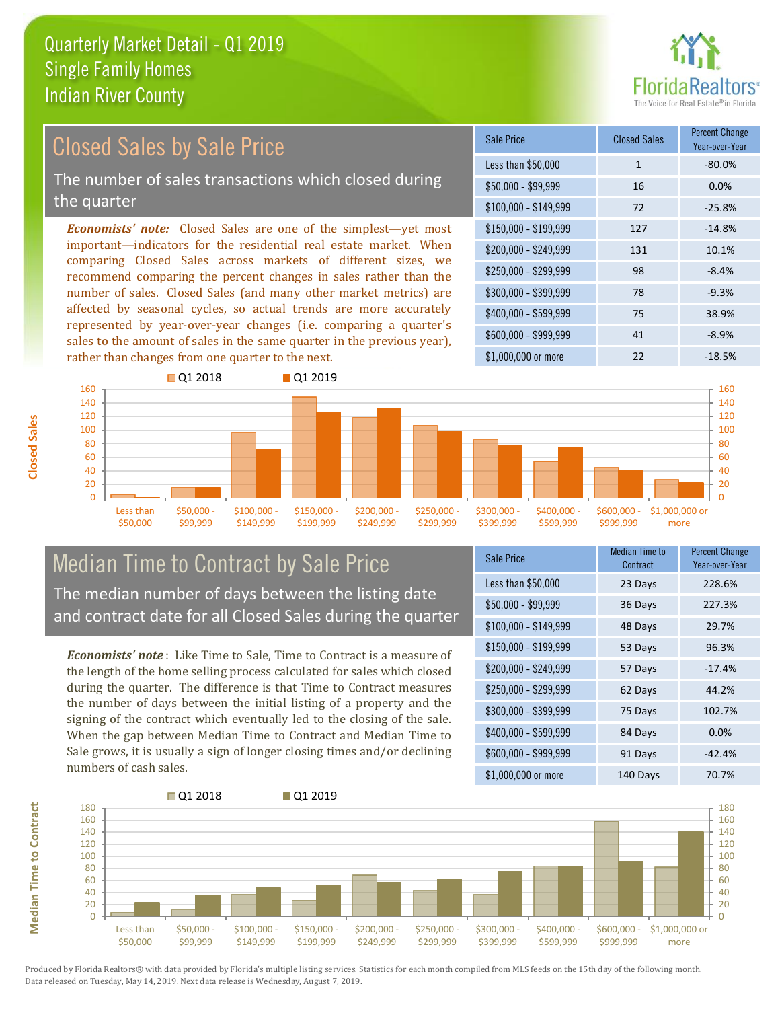

#### *Economists' note:* Closed Sales are one of the simplest—yet most important—indicators for the residential real estate market. When comparing Closed Sales across markets of different sizes, we recommend comparing the percent changes in sales rather than the number of sales. Closed Sales (and many other market metrics) are affected by seasonal cycles, so actual trends are more accurately represented by year-over-year changes (i.e. comparing a quarter's sales to the amount of sales in the same quarter in the previous year), rather than changes from one quarter to the next. \$1,000,000 or more 22 -18.5%  $$250,000 - $299,999$  98 -8.4% \$300,000 - \$399,999 78 -9.3% \$400,000 - \$599,999 75 38.9%  $$600,000 - $999,999$  41 -8.9% \$150,000 - \$199,999 127 -14.8% \$200,000 - \$249,999 131 10.1%  $$100,000 - $149,999$  72 -25.8% Sale Price Closed Sales Percent Change Year-over-Year Less than \$50,000 1 1 -80.0%  $$50,000 - $99,999$  16 0.0% Closed Sales by Sale Price The number of sales transactions which closed during the quarter



### Median Time to Contract by Sale Price The median number of days between the listing date and contract date for all Closed Sales during the quarter

*Economists' note* : Like Time to Sale, Time to Contract is a measure of the length of the home selling process calculated for sales which closed during the quarter. The difference is that Time to Contract measures the number of days between the initial listing of a property and the signing of the contract which eventually led to the closing of the sale. When the gap between Median Time to Contract and Median Time to Sale grows, it is usually a sign of longer closing times and/or declining numbers of cash sales.

| Sale Price            | <b>Median Time to</b><br>Contract | <b>Percent Change</b><br>Year-over-Year |
|-----------------------|-----------------------------------|-----------------------------------------|
| Less than \$50,000    | 23 Days                           | 228.6%                                  |
| \$50,000 - \$99,999   | 36 Days                           | 227.3%                                  |
| $$100,000 - $149,999$ | 48 Days                           | 29.7%                                   |
| $$150,000 - $199,999$ | 53 Days                           | 96.3%                                   |
| \$200,000 - \$249,999 | 57 Days                           | $-17.4%$                                |
| \$250,000 - \$299,999 | 62 Days                           | 44.2%                                   |
| \$300,000 - \$399,999 | 75 Days                           | 102.7%                                  |
| \$400,000 - \$599,999 | 84 Days                           | 0.0%                                    |
| \$600,000 - \$999,999 | 91 Days                           | $-42.4%$                                |
| \$1,000,000 or more   | 140 Days                          | 70.7%                                   |

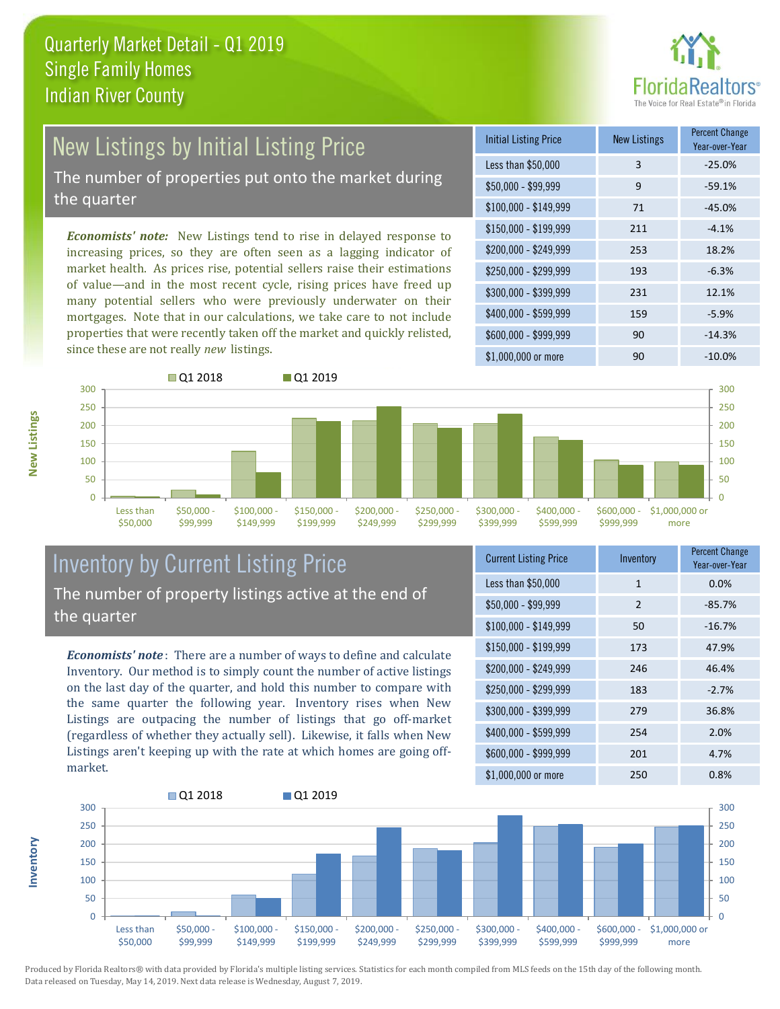

# New Listings by Initial Listing Price

The number of properties put onto the market during the quarter

*Economists' note:* New Listings tend to rise in delayed response to increasing prices, so they are often seen as a lagging indicator of market health. As prices rise, potential sellers raise their estimations of value—and in the most recent cycle, rising prices have freed up many potential sellers who were previously underwater on their mortgages. Note that in our calculations, we take care to not include properties that were recently taken off the market and quickly relisted, since these are not really *new* listings.

| <b>Initial Listing Price</b> | <b>New Listings</b> | <b>Percent Change</b><br>Year-over-Year |
|------------------------------|---------------------|-----------------------------------------|
| Less than \$50,000           | 3                   | $-25.0%$                                |
| $$50,000 - $99,999$          | 9                   | $-59.1%$                                |
| $$100,000 - $149,999$        | 71                  | $-45.0%$                                |
| $$150,000 - $199,999$        | 211                 | $-4.1%$                                 |
| \$200,000 - \$249,999        | 253                 | 18.2%                                   |
| \$250,000 - \$299,999        | 193                 | $-6.3%$                                 |
| \$300,000 - \$399,999        | 231                 | 12.1%                                   |
| \$400,000 - \$599,999        | 159                 | $-5.9%$                                 |
| \$600,000 - \$999,999        | 90                  | $-14.3%$                                |
| $$1,000,000$ or more         | 90                  | $-10.0\%$                               |



### Inventory by Current Listing Price The number of property listings active at the end of the quarter

*Economists' note* : There are a number of ways to define and calculate Inventory. Our method is to simply count the number of active listings on the last day of the quarter, and hold this number to compare with the same quarter the following year. Inventory rises when New Listings are outpacing the number of listings that go off-market (regardless of whether they actually sell). Likewise, it falls when New Listings aren't keeping up with the rate at which homes are going offmarket.

| <b>Current Listing Price</b> | Inventory      | <b>Percent Change</b><br>Year-over-Year |
|------------------------------|----------------|-----------------------------------------|
| Less than \$50,000           | $\mathbf{1}$   | 0.0%                                    |
| $$50,000 - $99,999$          | $\overline{2}$ | $-85.7%$                                |
| $$100,000 - $149,999$        | 50             | $-16.7%$                                |
| $$150,000 - $199,999$        | 173            | 47.9%                                   |
| \$200,000 - \$249,999        | 246            | 46.4%                                   |
| \$250,000 - \$299,999        | 183            | $-2.7%$                                 |
| \$300,000 - \$399,999        | 279            | 36.8%                                   |
| \$400,000 - \$599,999        | 254            | 2.0%                                    |
| \$600,000 - \$999,999        | 201            | 4.7%                                    |
| \$1,000,000 or more          | 250            | 0.8%                                    |



Produced by Florida Realtors® with data provided by Florida's multiple listing services. Statistics for each month compiled from MLS feeds on the 15th day of the following month. Data released on Tuesday, May 14, 2019. Next data release is Wednesday, August 7, 2019.

**Inventory**